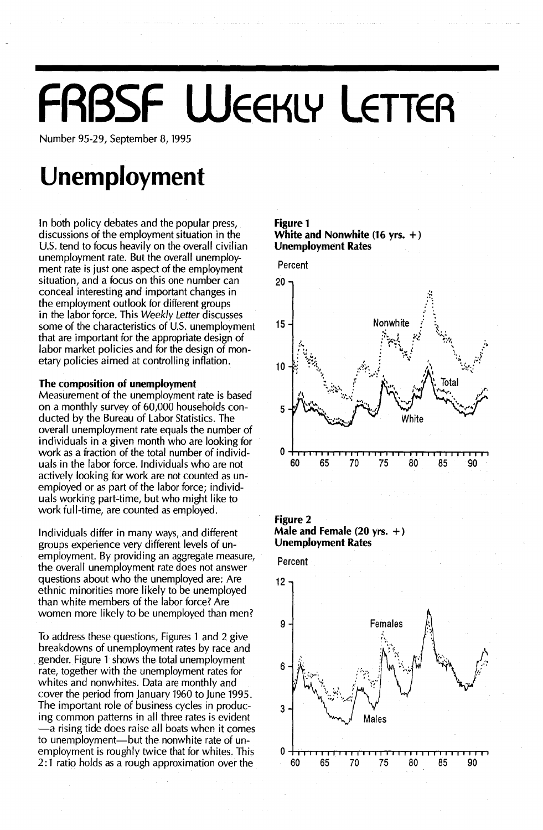# **FABSF WEEKLY LETTER**

Number 95-29, September 8, 1995

## **Unemployment**

In both policy debates and the popular press, discussions of the employment situation in the U.S. tend to focus heavily on the overall civilian unemployment rate. But the overall unemployment rate is just one aspect of the employment situation, and a focus on this one number can conceal interesting and important changes in the employment outlook for different groups in the labor force. This Weekly Letter discusses some of the characteristics of U.S. unemployment that are important for the appropriate design of labor market policies and for the design of monetary policies aimed at controlling inflation.

#### The composition of unemployment

Measurement of the unemployment rate is based on a monthly survey of 60,000 households conducted by the Bureau of Labor Statistics. The overall unemployment rate equals the number of individuals in a given month who are looking for work as a fraction of the total number of individuals in the labor force. Individuals who are not actively looking for work are not counted as unemployed or as part of the labor force; individuals working part-time, but who might like to work full-time, are counted as employed.

Individuals differ in many ways, and different groups experience very different levels of unemployment. By providing an aggregate measure, the overall unemployment rate does not answer questions about who the unemployed are: Are ethnic minorities more likely to be unemployed than white members of the labor force? Are women more likely to be unemployed than men?

To address these questions, Figures 1 and 2 give breakdowns of unemployment rates by race and gender. Figure 1 shows the total unemployment rate, together with the unemployment rates for whites and nonwhites. Data are monthly and cover the period from January 1960 to June 1995. The important role of business cycles in producing common patterns in all three rates is evident -a rising tide does raise all boats when it comes to unemployment-but the nonwhite rate of unemployment is roughly twice that for whites. This 2: 1 ratio holds as a rough approximation over the

#### Figure 1 White and Nonwhite (16 yrs. +) Unemployment Rates



Figure 2 Male and Female (20 yrs. +) Unemployment Rates

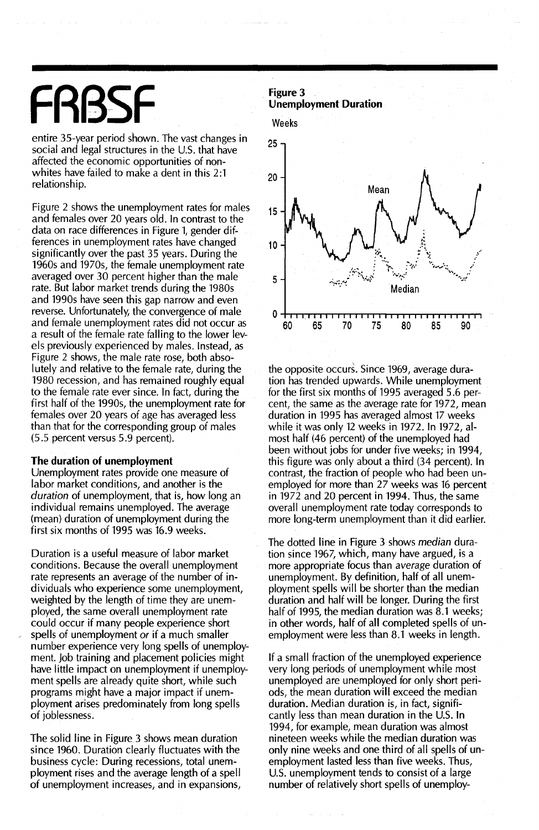## FRRSF

entire 35~year period shown. The vast changes in social and legal structures in the U.S. that have affected the economic opportunities of nonwhites have failed to make a dent in this 2:1 relationship.

Figure 2 shows the unemployment rates for males and females over 20 years old. In contrast to the data on race differences in Figure 1, gender differences in unemployment rates have changed significantly over the past 35 years. During the 1960s and 1970s, the female unemployment rate averaged over 30 percent higher than the male rate. But labor market trends during the 1980s and 1990s have seen this gap narrow and even reverse. Unfortunately, the convergence of male and female unemployment rates did not occur as a result of the female rate falling to the lower levels previously experienced by males. Instead, as Figure 2 shows, the male rate rose, both absolutely and relative to the female rate, during the 1980 recession, and has remained roughly equal to the female rate ever since. In fact, during the first half of the 1990s, the unemployment rate for females over 20 years of age has averaged less than that for the corresponding group of males (5.5 percent versus 5.9 percent).

#### **The duration of unemployment**

Unemployment rates provide one measure of labor market conditions, and another is the *duration* of unemployment, that is, how long an individual remains unemployed. The average (mean) duration of unemployment during the first six months of 1995 was 16.9 weeks.

Duration is a useful measure of labor market conditions. Because the overall unemployment rate represents an average of the number of individuals who experience some unemployment, weighted by the length of time they are unemployed, the same overall unemployment rate could occur if many people experience short spells of unemployment *or* if a much smaller number experience very long spells of unemployment. Job training and placement policies might have little impact on unemployment if unemployment spells are already quite short, while such programs might have a major impact if unemployment arises predominately from long spells of joblessness.

The solid line in Figure 3 shows mean duration since 1960. Duration clearly fluctuates with the business cycle: During recessions, total unemployment rises and the average length of a spell of unemployment increases, and in expansions,

**Unemployment Duration**





the opposite occurs. Since 1969, average duration has trended upwards. While unemployment for the first six months of 1995 averaged 5.6 percent, the same as the average rate for 1972, mean duration in 1995 has averaged almost 17 weeks while it was only 12 weeks in 1972. In 1972, almost half (46 percent) of the unemployed had been without jobs for under five weeks; in 1994, this figure was only about a third (34 percent). In contrast, the fraction of people who had been unemployed for more than 27 weeks was 16 percent in 1972 and 20 percent in 1994. Thus, the same overall unemployment rate today corresponds to more long-term unemployment than it did earlier.

The dotted line in Figure 3 shows *median* duration since 1967, which, many have argued, is a more appropriate focus than *average* duration of unemployment. By definition, half of all unemployment spells will be shorter than the median duration and half will be longer. During the first half of 1995, the median duration was 8.1 weeks; in other words, half of all completed spells of unemployment were less than 8.1 weeks in length.

If a small fraction of the unemployed experience very long periods of unemployment while most unemployed are unemployed for only short periods, the mean duration will exceed the median duration. Median duration is, in fact, significantly less than mean duration in the U.S. In 1994, for example, mean duration was almost nineteen weeks while the median duration was only nine weeks and one third of all spells of unemployment lasted less than five weeks. Thus, U.S. unemployment tends to consist of a large number of relatively short spells of unemploy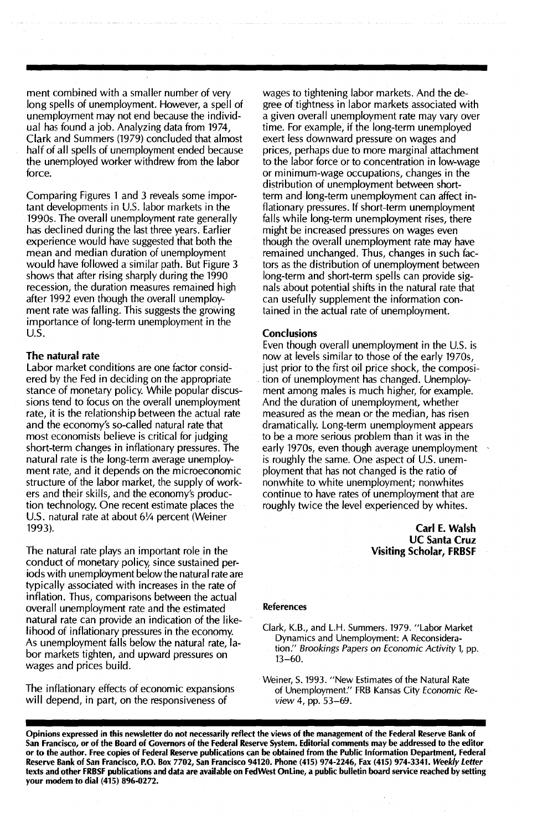ment combined with a smaller number of very long spells of unemployment. However, a spell of unemployment may not end because the individual has found a job. Analyzing data from 1974, Clark and Summers (1979) concluded that almost half of all spells of unemployment ended because the unemployed worker withdrew from the labor force.

Comparing Figures 1 and 3 reveals some important developments in U.s. labor markets in the 1990s. The overall unemployment rate generally has declined during the last three years. Earlier experience would have suggested that both the mean and median duration of unemployment would have followed a similar path. But Figure 3 shows that after rising sharply during the 1990 recession, the duration measures remained high after 1992 even though the overall unemployment rate was falling. This suggests the growing importance of long-term unemployment in the U.S.

#### The natural rate

Labor market conditions are one factor considered by the Fed in deciding on the appropriate stance of monetary policy. While popular discussions tend to focus on the overall unemployment rate, it is the relationship between the actual rate and the economy's so-called natural rate that most economists believe is critical for judging short-term changes in inflationary pressures. The natural rate is the long-term average unemployment rate, and it depends on the microeconomic structure of the labor market, the supply of workers and their skills, and the economy's production technology. One recent estimate places the U.S. natural rate at about 61/4 percent (Weiner 1993).

The natural rate plays an important role in the conduct of monetary policy, since sustained periods with unemployment below the natural rate are typically associated with increases in the rate of inflation. Thus, comparisons between the actual overall unemployment rate and the estimated natural rate can provide an indication of the likelihood of inflationary pressures in the economy. As unemployment falls below the natural rate, labor markets tighten, and upward pressures on wages and prices build.

The inflationary effects of economic expansions will depend, in part, on the responsiveness of

wages to tightening labor markets. And the degree of tightness in labor markets associated with a given overall unemployment rate may vary over time. For example, if the long-term unemployed exert less downward pressure on wages and prices, perhaps due to more marginal attachment to the labor force or to concentration in low-wage or minimum-wage occupations, changes in the distribution of unemployment between shortterm and long-term unemployment can affect inflationary pressures. If short-term unemployment falls while long-term unemployment rises, there might be increased pressures on wages even though the overall unemployment rate may have remained unchanged. Thus, changes in such factors as the distribution of unemployment between long-term and short-term spells can provide signals about potential shifts in the natural rate that can usefully supplement the information contained in the actual rate of unemployment.

#### **Conclusions**

Even though overall unemployment in the U.S. is now at levels similar to those of the early 1970s, just prior to the first oil price shock, the composi tion of unemployment has changed. Unemployment among males is much higher, for example. And the duration of unemployment, whether measured as the mean or the median, has risen dramatically. Long-term unemployment appears to be a more serious problem than it was in the early 1970s, even though average unemployment is roughly the same. One aspect of U.S. unemployment that has not changed is the ratio of nonwhite to white unemployment; nonwhites continue to have rates of unemployment that are roughly twice the level experienced by whites.

> Carl E. Walsh UC Santa Cruz Visiting Scholar, FRBSF

#### References

Weiner, S. 1993. "New Estimates of the Natural Rate of Unemployment." FRB Kansas City Economic Review 4, pp. 53-69.

Opinions expressed in this newsletter do not necessarily reflect the views of the management of the Federal Reserve Bank of San Francisco, or of the Board of Governors of the Federal Reserve System. Editorial comments may be addressed to the editor or to the author. Free copies of Federal Reserve publications can be obtained from the Public Information Department, Federal Reserve Bank of San Francisco, P.O. Box 7702, San Francisco 94120. Phone (415) 974-2246, Fax (415) 974-3341. *Weekly Letter* texts and other FRBSF publications and data are available on FedWest Online, a public bulletin board service reached by setting your modem to dial (415) 896-0272.

Clark, K.B., and L.H. Summers. 1979. "Labor Market Dynamics and Unemployment: A Reconsideration." Brookings Papers on Economic Activity 1, pp. 13-60.